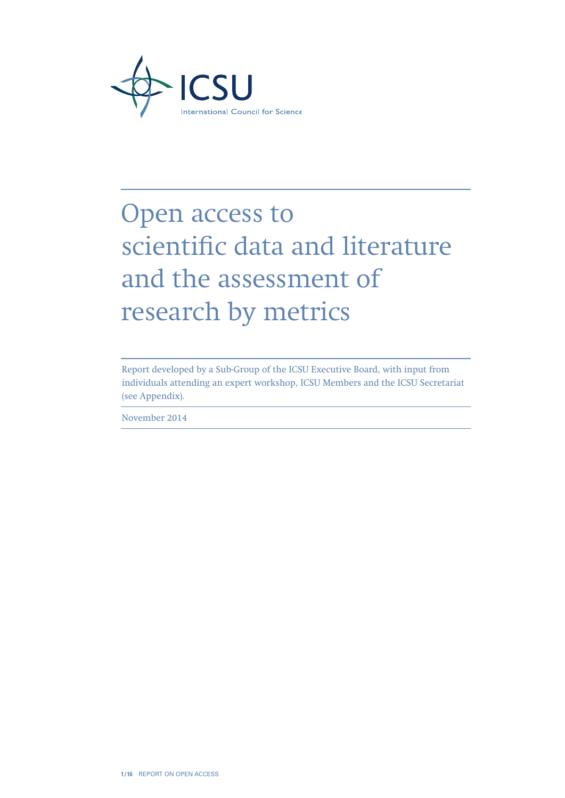

# Open access to scientific data and literature and the assessment of research by metrics

Report developed by a Sub-Group of the ICSU Executive Board, with input from individuals attending an expert workshop, ICSU Members and the ICSU Secretariat (see Appendix).

November 2014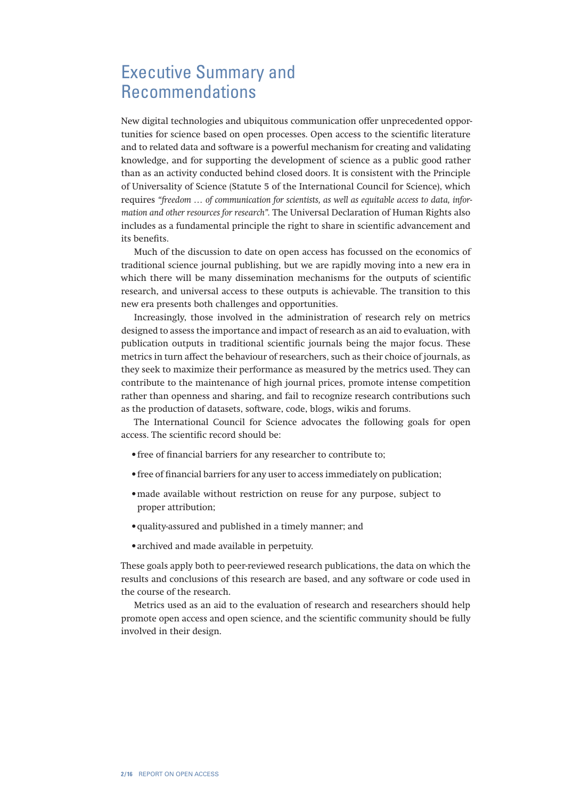# Executive Summary and Recommendations

New digital technologies and ubiquitous communication offer unprecedented opportunities for science based on open processes. Open access to the scientific literature and to related data and software is a powerful mechanism for creating and validating knowledge, and for supporting the development of science as a public good rather than as an activity conducted behind closed doors. It is consistent with the Principle of Universality of Science (Statute 5 of the International Council for Science), which requires *"freedom … of communication for scientists, as well as equitable access to data, information and other resources for research".* The Universal Declaration of Human Rights also includes as a fundamental principle the right to share in scientific advancement and its benefits.

Much of the discussion to date on open access has focussed on the economics of traditional science journal publishing, but we are rapidly moving into a new era in which there will be many dissemination mechanisms for the outputs of scientific research, and universal access to these outputs is achievable. The transition to this new era presents both challenges and opportunities.

Increasingly, those involved in the administration of research rely on metrics designed to assess the importance and impact of research as an aid to evaluation, with publication outputs in traditional scientific journals being the major focus. These metrics in turn affect the behaviour of researchers, such as their choice of journals, as they seek to maximize their performance as measured by the metrics used. They can contribute to the maintenance of high journal prices, promote intense competition rather than openness and sharing, and fail to recognize research contributions such as the production of datasets, software, code, blogs, wikis and forums.

The International Council for Science advocates the following goals for open access. The scientific record should be:

- • free of financial barriers for any researcher to contribute to;
- • free of financial barriers for any user to access immediately on publication;
- • made available without restriction on reuse for any purpose, subject to proper attribution;
- • quality-assured and published in a timely manner; and
- • archived and made available in perpetuity.

These goals apply both to peer-reviewed research publications, the data on which the results and conclusions of this research are based, and any software or code used in the course of the research.

Metrics used as an aid to the evaluation of research and researchers should help promote open access and open science, and the scientific community should be fully involved in their design.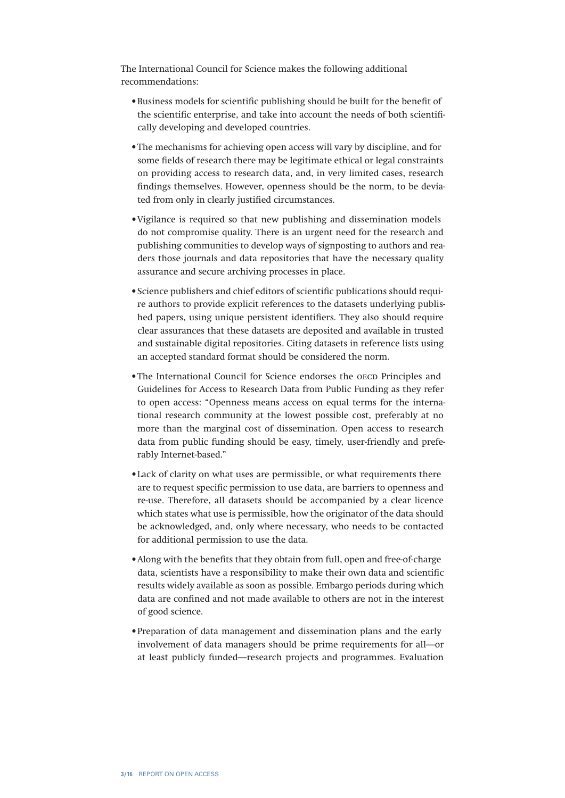The International Council for Science makes the following additional recommendations:

- • Business models for scientific publishing should be built for the benefit of the scientific enterprise, and take into account the needs of both scientifically developing and developed countries.
- • The mechanisms for achieving open access will vary by discipline, and for some fields of research there may be legitimate ethical or legal constraints on providing access to research data, and, in very limited cases, research findings themselves. However, openness should be the norm, to be deviated from only in clearly justified circumstances.
- • Vigilance is required so that new publishing and dissemination models do not compromise quality. There is an urgent need for the research and publishing communities to develop ways of signposting to authors and readers those journals and data repositories that have the necessary quality assurance and secure archiving processes in place.
- • Science publishers and chief editors of scientific publications should require authors to provide explicit references to the datasets underlying published papers, using unique persistent identifiers. They also should require clear assurances that these datasets are deposited and available in trusted and sustainable digital repositories. Citing datasets in reference lists using an accepted standard format should be considered the norm.
- The International Council for Science endorses the oeco Principles and Guidelines for Access to Research Data from Public Funding as they refer to open access: "Openness means access on equal terms for the international research community at the lowest possible cost, preferably at no more than the marginal cost of dissemination. Open access to research data from public funding should be easy, timely, user-friendly and preferably Internet-based."
- • Lack of clarity on what uses are permissible, or what requirements there are to request specific permission to use data, are barriers to openness and re-use. Therefore, all datasets should be accompanied by a clear licence which states what use is permissible, how the originator of the data should be acknowledged, and, only where necessary, who needs to be contacted for additional permission to use the data.
- • Along with the benefits that they obtain from full, open and free-of-charge data, scientists have a responsibility to make their own data and scientific results widely available as soon as possible. Embargo periods during which data are confined and not made available to others are not in the interest of good science.
- • Preparation of data management and dissemination plans and the early involvement of data managers should be prime requirements for all—or at least publicly funded—research projects and programmes. Evaluation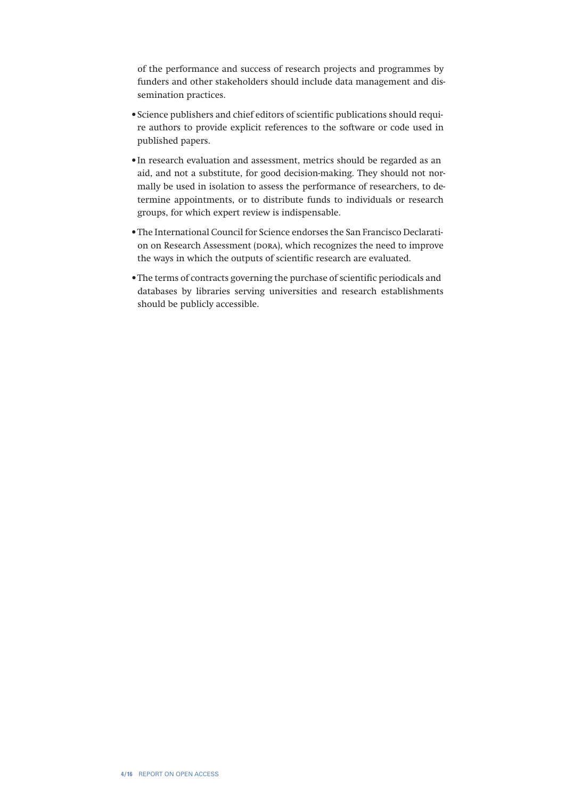of the performance and success of research projects and programmes by funders and other stakeholders should include data management and dissemination practices.

- • Science publishers and chief editors of scientific publications should require authors to provide explicit references to the software or code used in published papers.
- • In research evaluation and assessment, metrics should be regarded as an aid, and not a substitute, for good decision-making. They should not normally be used in isolation to assess the performance of researchers, to determine appointments, or to distribute funds to individuals or research groups, for which expert review is indispensable.
- • The International Council for Science endorses the San Francisco Declaration on Research Assessment (pora), which recognizes the need to improve the ways in which the outputs of scientific research are evaluated.
- • The terms of contracts governing the purchase of scientific periodicals and databases by libraries serving universities and research establishments should be publicly accessible.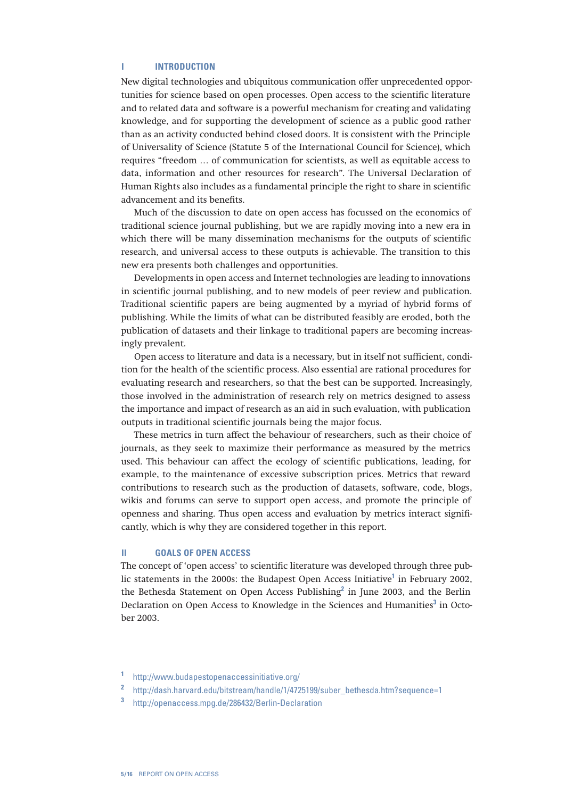#### **i INTRODUCTION**

New digital technologies and ubiquitous communication offer unprecedented opportunities for science based on open processes. Open access to the scientific literature and to related data and software is a powerful mechanism for creating and validating knowledge, and for supporting the development of science as a public good rather than as an activity conducted behind closed doors. It is consistent with the Principle of Universality of Science (Statute 5 of the International Council for Science), which requires "freedom … of communication for scientists, as well as equitable access to data, information and other resources for research". The Universal Declaration of Human Rights also includes as a fundamental principle the right to share in scientific advancement and its benefits.

Much of the discussion to date on open access has focussed on the economics of traditional science journal publishing, but we are rapidly moving into a new era in which there will be many dissemination mechanisms for the outputs of scientific research, and universal access to these outputs is achievable. The transition to this new era presents both challenges and opportunities.

Developments in open access and Internet technologies are leading to innovations in scientific journal publishing, and to new models of peer review and publication. Traditional scientific papers are being augmented by a myriad of hybrid forms of publishing. While the limits of what can be distributed feasibly are eroded, both the publication of datasets and their linkage to traditional papers are becoming increasingly prevalent.

Open access to literature and data is a necessary, but in itself not sufficient, condition for the health of the scientific process. Also essential are rational procedures for evaluating research and researchers, so that the best can be supported. Increasingly, those involved in the administration of research rely on metrics designed to assess the importance and impact of research as an aid in such evaluation, with publication outputs in traditional scientific journals being the major focus.

These metrics in turn affect the behaviour of researchers, such as their choice of journals, as they seek to maximize their performance as measured by the metrics used. This behaviour can affect the ecology of scientific publications, leading, for example, to the maintenance of excessive subscription prices. Metrics that reward contributions to research such as the production of datasets, software, code, blogs, wikis and forums can serve to support open access, and promote the principle of openness and sharing. Thus open access and evaluation by metrics interact significantly, which is why they are considered together in this report.

# **ii Goals of open access**

The concept of 'open access' to scientific literature was developed through three public statements in the 2000s: the Budapest Open Access Initiative**<sup>1</sup>** in February 2002, the Bethesda Statement on Open Access Publishing**<sup>2</sup>** in June 2003, and the Berlin Declaration on Open Access to Knowledge in the Sciences and Humanities<sup>3</sup> in October 2003.

- **<sup>2</sup>** http://dash.harvard.edu/bitstream/handle/1/4725199/suber\_bethesda.htm?sequence=1
- **<sup>3</sup>** http://openaccess.mpg.de/286432/Berlin-Declaration

**<sup>1</sup>** http://www.budapestopenaccessinitiative.org/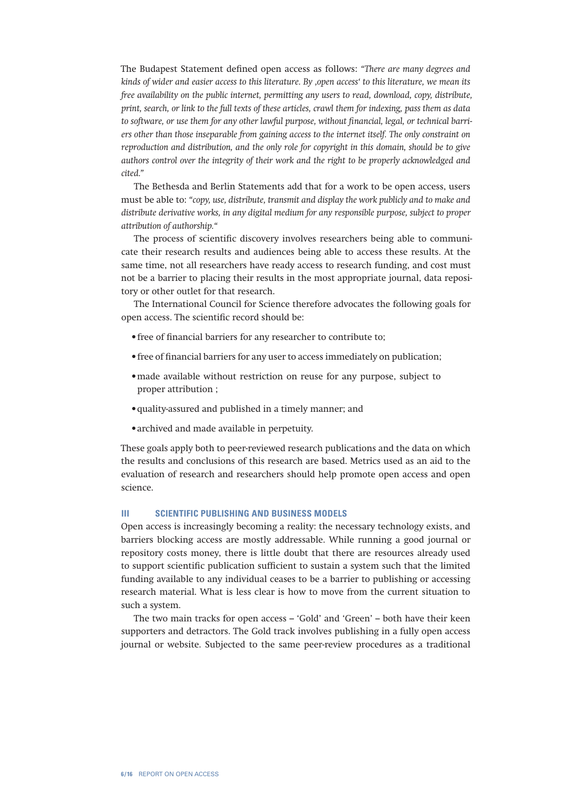The Budapest Statement defined open access as follows: *"There are many degrees and kinds of wider and easier access to this literature. By 'open access' to this literature, we mean its free availability on the public internet, permitting any users to read, download, copy, distribute, print, search, or link to the full texts of these articles, crawl them for indexing, pass them as data to software, or use them for any other lawful purpose, without financial, legal, or technical barriers other than those inseparable from gaining access to the internet itself. The only constraint on reproduction and distribution, and the only role for copyright in this domain, should be to give authors control over the integrity of their work and the right to be properly acknowledged and cited."*

The Bethesda and Berlin Statements add that for a work to be open access, users must be able to: *"copy, use, distribute, transmit and display the work publicly and to make and distribute derivative works, in any digital medium for any responsible purpose, subject to proper attribution of authorship."*

The process of scientific discovery involves researchers being able to communicate their research results and audiences being able to access these results. At the same time, not all researchers have ready access to research funding, and cost must not be a barrier to placing their results in the most appropriate journal, data repository or other outlet for that research.

The International Council for Science therefore advocates the following goals for open access. The scientific record should be:

- • free of financial barriers for any researcher to contribute to;
- • free of financial barriers for any user to access immediately on publication;
- • made available without restriction on reuse for any purpose, subject to proper attribution ;
- • quality-assured and published in a timely manner; and
- • archived and made available in perpetuity.

These goals apply both to peer-reviewed research publications and the data on which the results and conclusions of this research are based. Metrics used as an aid to the evaluation of research and researchers should help promote open access and open science.

#### **iii Scientific publishing and business models**

Open access is increasingly becoming a reality: the necessary technology exists, and barriers blocking access are mostly addressable. While running a good journal or repository costs money, there is little doubt that there are resources already used to support scientific publication sufficient to sustain a system such that the limited funding available to any individual ceases to be a barrier to publishing or accessing research material. What is less clear is how to move from the current situation to such a system.

The two main tracks for open access – 'Gold' and 'Green' – both have their keen supporters and detractors. The Gold track involves publishing in a fully open access journal or website. Subjected to the same peer-review procedures as a traditional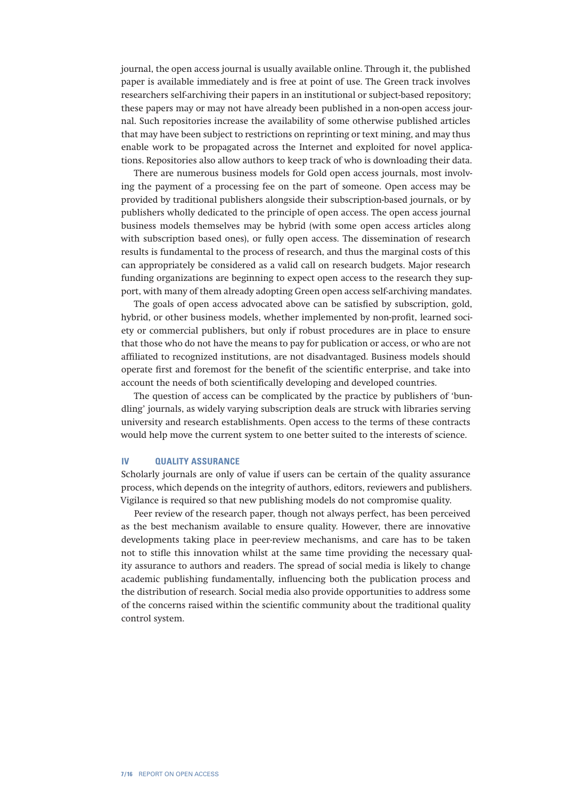journal, the open access journal is usually available online. Through it, the published paper is available immediately and is free at point of use. The Green track involves researchers self-archiving their papers in an institutional or subject-based repository; these papers may or may not have already been published in a non-open access journal. Such repositories increase the availability of some otherwise published articles that may have been subject to restrictions on reprinting or text mining, and may thus enable work to be propagated across the Internet and exploited for novel applications. Repositories also allow authors to keep track of who is downloading their data.

There are numerous business models for Gold open access journals, most involving the payment of a processing fee on the part of someone. Open access may be provided by traditional publishers alongside their subscription-based journals, or by publishers wholly dedicated to the principle of open access. The open access journal business models themselves may be hybrid (with some open access articles along with subscription based ones), or fully open access. The dissemination of research results is fundamental to the process of research, and thus the marginal costs of this can appropriately be considered as a valid call on research budgets. Major research funding organizations are beginning to expect open access to the research they support, with many of them already adopting Green open access self-archiving mandates.

The goals of open access advocated above can be satisfied by subscription, gold, hybrid, or other business models, whether implemented by non-profit, learned society or commercial publishers, but only if robust procedures are in place to ensure that those who do not have the means to pay for publication or access, or who are not affiliated to recognized institutions, are not disadvantaged. Business models should operate first and foremost for the benefit of the scientific enterprise, and take into account the needs of both scientifically developing and developed countries.

The question of access can be complicated by the practice by publishers of 'bundling' journals, as widely varying subscription deals are struck with libraries serving university and research establishments. Open access to the terms of these contracts would help move the current system to one better suited to the interests of science.

#### **iv Quality assurance**

Scholarly journals are only of value if users can be certain of the quality assurance process, which depends on the integrity of authors, editors, reviewers and publishers. Vigilance is required so that new publishing models do not compromise quality.

Peer review of the research paper, though not always perfect, has been perceived as the best mechanism available to ensure quality. However, there are innovative developments taking place in peer-review mechanisms, and care has to be taken not to stifle this innovation whilst at the same time providing the necessary quality assurance to authors and readers. The spread of social media is likely to change academic publishing fundamentally, influencing both the publication process and the distribution of research. Social media also provide opportunities to address some of the concerns raised within the scientific community about the traditional quality control system.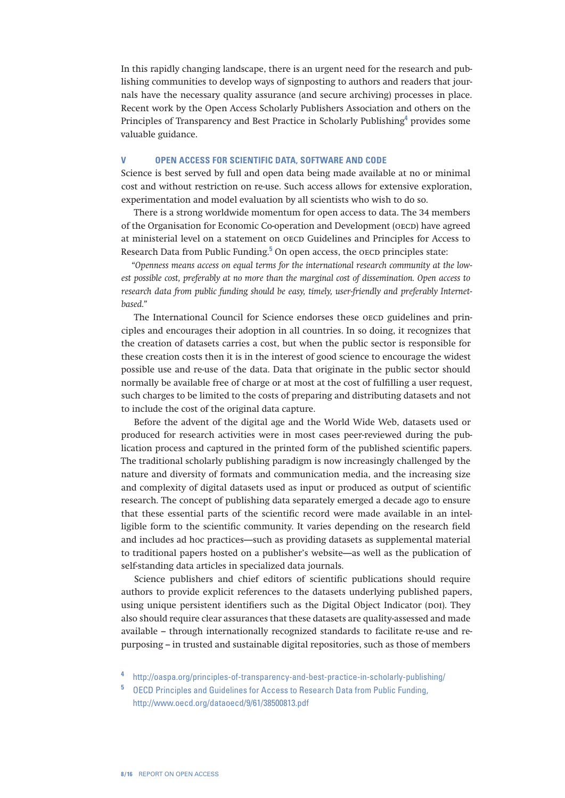In this rapidly changing landscape, there is an urgent need for the research and publishing communities to develop ways of signposting to authors and readers that journals have the necessary quality assurance (and secure archiving) processes in place. Recent work by the Open Access Scholarly Publishers Association and others on the Principles of Transparency and Best Practice in Scholarly Publishing**<sup>4</sup>** provides some valuable guidance.

#### **v Open access for scientific data, software and code**

Science is best served by full and open data being made available at no or minimal cost and without restriction on re-use. Such access allows for extensive exploration, experimentation and model evaluation by all scientists who wish to do so.

There is a strong worldwide momentum for open access to data. The 34 members of the Organisation for Economic Co-operation and Development (oecp) have agreed at ministerial level on a statement on oeco Guidelines and Principles for Access to Research Data from Public Funding.<sup>5</sup> On open access, the oeco principles state:

*"Openness means access on equal terms for the international research community at the lowest possible cost, preferably at no more than the marginal cost of dissemination. Open access to research data from public funding should be easy, timely, user-friendly and preferably Internetbased."*

The International Council for Science endorses these oeco guidelines and principles and encourages their adoption in all countries. In so doing, it recognizes that the creation of datasets carries a cost, but when the public sector is responsible for these creation costs then it is in the interest of good science to encourage the widest possible use and re-use of the data. Data that originate in the public sector should normally be available free of charge or at most at the cost of fulfilling a user request, such charges to be limited to the costs of preparing and distributing datasets and not to include the cost of the original data capture.

Before the advent of the digital age and the World Wide Web, datasets used or produced for research activities were in most cases peer-reviewed during the publication process and captured in the printed form of the published scientific papers. The traditional scholarly publishing paradigm is now increasingly challenged by the nature and diversity of formats and communication media, and the increasing size and complexity of digital datasets used as input or produced as output of scientific research. The concept of publishing data separately emerged a decade ago to ensure that these essential parts of the scientific record were made available in an intelligible form to the scientific community. It varies depending on the research field and includes ad hoc practices—such as providing datasets as supplemental material to traditional papers hosted on a publisher's website—as well as the publication of self-standing data articles in specialized data journals.

Science publishers and chief editors of scientific publications should require authors to provide explicit references to the datasets underlying published papers, using unique persistent identifiers such as the Digital Object Indicator (DOI). They also should require clear assurances that these datasets are quality-assessed and made available – through internationally recognized standards to facilitate re-use and repurposing – in trusted and sustainable digital repositories, such as those of members

- **<sup>4</sup>** http://oaspa.org/principles-of-transparency-and-best-practice-in-scholarly-publishing/
- **5** OECD Principles and Guidelines for Access to Research Data from Public Funding, http://www.oecd.org/dataoecd/9/61/38500813.pdf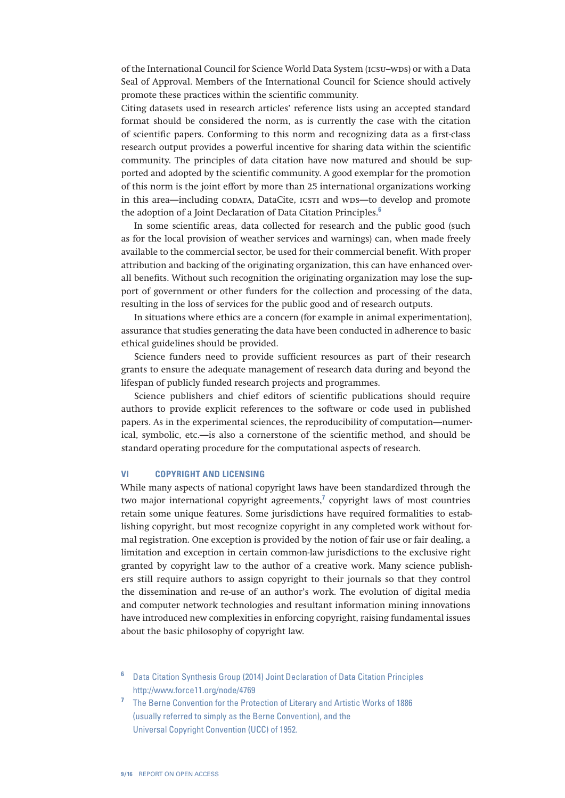of the International Council for Science World Data System (ICSU–WDS) or with a Data Seal of Approval. Members of the International Council for Science should actively promote these practices within the scientific community.

Citing datasets used in research articles' reference lists using an accepted standard format should be considered the norm, as is currently the case with the citation of scientific papers. Conforming to this norm and recognizing data as a first-class research output provides a powerful incentive for sharing data within the scientific community. The principles of data citation have now matured and should be supported and adopted by the scientific community. A good exemplar for the promotion of this norm is the joint effort by more than 25 international organizations working in this area—including codata, DataCite, icsti and wds—to develop and promote the adoption of a Joint Declaration of Data Citation Principles.**<sup>6</sup>**

In some scientific areas, data collected for research and the public good (such as for the local provision of weather services and warnings) can, when made freely available to the commercial sector, be used for their commercial benefit. With proper attribution and backing of the originating organization, this can have enhanced overall benefits. Without such recognition the originating organization may lose the support of government or other funders for the collection and processing of the data, resulting in the loss of services for the public good and of research outputs.

In situations where ethics are a concern (for example in animal experimentation), assurance that studies generating the data have been conducted in adherence to basic ethical guidelines should be provided.

Science funders need to provide sufficient resources as part of their research grants to ensure the adequate management of research data during and beyond the lifespan of publicly funded research projects and programmes.

Science publishers and chief editors of scientific publications should require authors to provide explicit references to the software or code used in published papers. As in the experimental sciences, the reproducibility of computation—numerical, symbolic, etc.—is also a cornerstone of the scientific method, and should be standard operating procedure for the computational aspects of research.

## **vi Copyright and licensing**

While many aspects of national copyright laws have been standardized through the two major international copyright agreements,**<sup>7</sup>** copyright laws of most countries retain some unique features. Some jurisdictions have required formalities to establishing copyright, but most recognize copyright in any completed work without formal registration. One exception is provided by the notion of fair use or fair dealing, a limitation and exception in certain common-law jurisdictions to the exclusive right granted by copyright law to the author of a creative work. Many science publishers still require authors to assign copyright to their journals so that they control the dissemination and re-use of an author's work. The evolution of digital media and computer network technologies and resultant information mining innovations have introduced new complexities in enforcing copyright, raising fundamental issues about the basic philosophy of copyright law.

- **6** Data Citation Synthesis Group (2014) Joint Declaration of Data Citation Principles http://www.force11.org/node/4769
- <sup>7</sup> The Berne Convention for the Protection of Literary and Artistic Works of 1886 (usually referred to simply as the Berne Convention), and the Universal Copyright Convention (UCC) of 1952.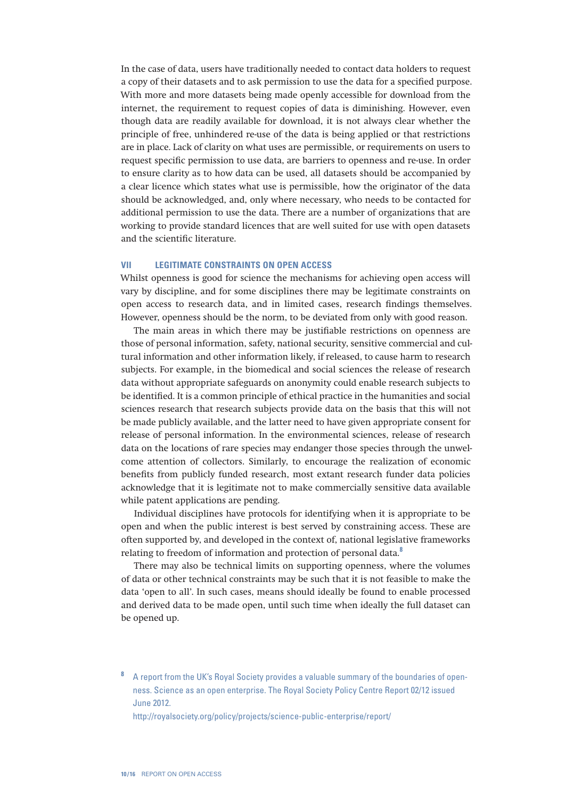In the case of data, users have traditionally needed to contact data holders to request a copy of their datasets and to ask permission to use the data for a specified purpose. With more and more datasets being made openly accessible for download from the internet, the requirement to request copies of data is diminishing. However, even though data are readily available for download, it is not always clear whether the principle of free, unhindered re-use of the data is being applied or that restrictions are in place. Lack of clarity on what uses are permissible, or requirements on users to request specific permission to use data, are barriers to openness and re-use. In order to ensure clarity as to how data can be used, all datasets should be accompanied by a clear licence which states what use is permissible, how the originator of the data should be acknowledged, and, only where necessary, who needs to be contacted for additional permission to use the data. There are a number of organizations that are working to provide standard licences that are well suited for use with open datasets and the scientific literature.

#### **vii Legitimate constraints on open access**

Whilst openness is good for science the mechanisms for achieving open access will vary by discipline, and for some disciplines there may be legitimate constraints on open access to research data, and in limited cases, research findings themselves. However, openness should be the norm, to be deviated from only with good reason.

The main areas in which there may be justifiable restrictions on openness are those of personal information, safety, national security, sensitive commercial and cultural information and other information likely, if released, to cause harm to research subjects. For example, in the biomedical and social sciences the release of research data without appropriate safeguards on anonymity could enable research subjects to be identified. It is a common principle of ethical practice in the humanities and social sciences research that research subjects provide data on the basis that this will not be made publicly available, and the latter need to have given appropriate consent for release of personal information. In the environmental sciences, release of research data on the locations of rare species may endanger those species through the unwelcome attention of collectors. Similarly, to encourage the realization of economic benefits from publicly funded research, most extant research funder data policies acknowledge that it is legitimate not to make commercially sensitive data available while patent applications are pending.

Individual disciplines have protocols for identifying when it is appropriate to be open and when the public interest is best served by constraining access. These are often supported by, and developed in the context of, national legislative frameworks relating to freedom of information and protection of personal data.**<sup>8</sup>**

There may also be technical limits on supporting openness, where the volumes of data or other technical constraints may be such that it is not feasible to make the data 'open to all'. In such cases, means should ideally be found to enable processed and derived data to be made open, until such time when ideally the full dataset can be opened up.

**8** A report from the UK's Royal Society provides a valuable summary of the boundaries of openness. Science as an open enterprise. The Royal Society Policy Centre Report 02/12 issued June 2012.

http://royalsociety.org/policy/projects/science-public-enterprise/report/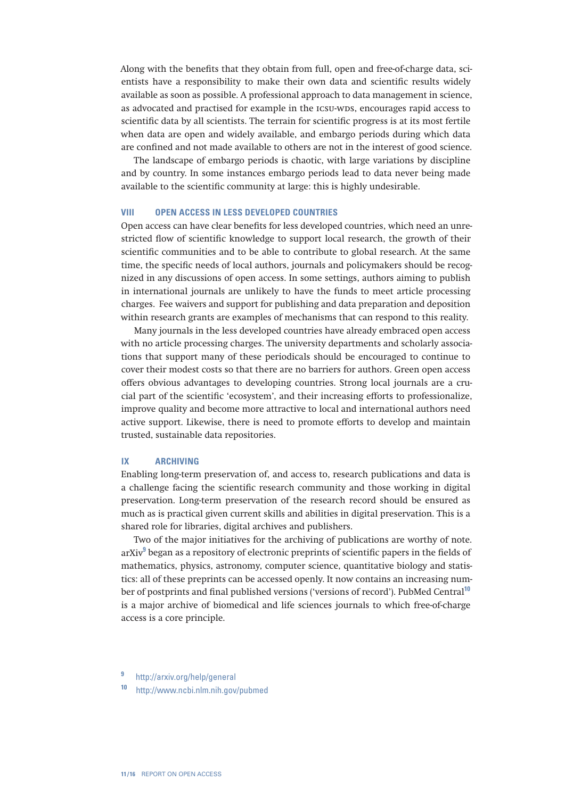Along with the benefits that they obtain from full, open and free-of-charge data, scientists have a responsibility to make their own data and scientific results widely available as soon as possible. A professional approach to data management in science, as advocated and practised for example in the ICSU-WDS, encourages rapid access to scientific data by all scientists. The terrain for scientific progress is at its most fertile when data are open and widely available, and embargo periods during which data are confined and not made available to others are not in the interest of good science.

The landscape of embargo periods is chaotic, with large variations by discipline and by country. In some instances embargo periods lead to data never being made available to the scientific community at large: this is highly undesirable.

#### **viii Open access in less developed countries**

Open access can have clear benefits for less developed countries, which need an unrestricted flow of scientific knowledge to support local research, the growth of their scientific communities and to be able to contribute to global research. At the same time, the specific needs of local authors, journals and policymakers should be recognized in any discussions of open access. In some settings, authors aiming to publish in international journals are unlikely to have the funds to meet article processing charges. Fee waivers and support for publishing and data preparation and deposition within research grants are examples of mechanisms that can respond to this reality.

Many journals in the less developed countries have already embraced open access with no article processing charges. The university departments and scholarly associations that support many of these periodicals should be encouraged to continue to cover their modest costs so that there are no barriers for authors. Green open access offers obvious advantages to developing countries. Strong local journals are a crucial part of the scientific 'ecosystem', and their increasing efforts to professionalize, improve quality and become more attractive to local and international authors need active support. Likewise, there is need to promote efforts to develop and maintain trusted, sustainable data repositories.

### **ix Archiving**

Enabling long-term preservation of, and access to, research publications and data is a challenge facing the scientific research community and those working in digital preservation. Long-term preservation of the research record should be ensured as much as is practical given current skills and abilities in digital preservation. This is a shared role for libraries, digital archives and publishers.

Two of the major initiatives for the archiving of publications are worthy of note. arXiv**<sup>9</sup>** began as a repository of electronic preprints of scientific papers in the fields of mathematics, physics, astronomy, computer science, quantitative biology and statistics: all of these preprints can be accessed openly. It now contains an increasing number of postprints and final published versions ('versions of record'). PubMed Central**<sup>10</sup>** is a major archive of biomedical and life sciences journals to which free-of-charge access is a core principle.

- **<sup>9</sup>** http://arxiv.org/help/general
- **<sup>10</sup>** http://www.ncbi.nlm.nih.gov/pubmed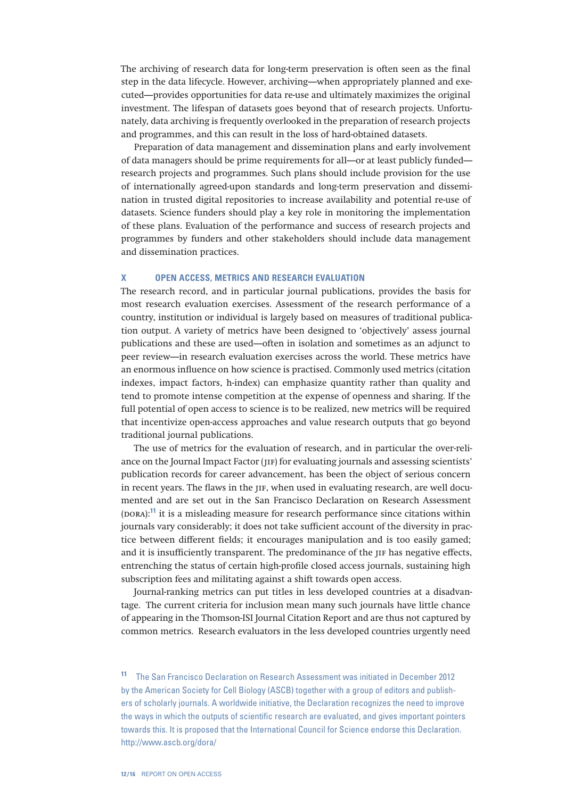The archiving of research data for long-term preservation is often seen as the final step in the data lifecycle. However, archiving—when appropriately planned and executed—provides opportunities for data re-use and ultimately maximizes the original investment. The lifespan of datasets goes beyond that of research projects. Unfortunately, data archiving is frequently overlooked in the preparation of research projects and programmes, and this can result in the loss of hard-obtained datasets.

Preparation of data management and dissemination plans and early involvement of data managers should be prime requirements for all—or at least publicly funded research projects and programmes. Such plans should include provision for the use of internationally agreed-upon standards and long-term preservation and dissemination in trusted digital repositories to increase availability and potential re-use of datasets. Science funders should play a key role in monitoring the implementation of these plans. Evaluation of the performance and success of research projects and programmes by funders and other stakeholders should include data management and dissemination practices.

# **x Open access, metrics and research evaluation**

The research record, and in particular journal publications, provides the basis for most research evaluation exercises. Assessment of the research performance of a country, institution or individual is largely based on measures of traditional publication output. A variety of metrics have been designed to 'objectively' assess journal publications and these are used—often in isolation and sometimes as an adjunct to peer review—in research evaluation exercises across the world. These metrics have an enormous influence on how science is practised. Commonly used metrics (citation indexes, impact factors, h-index) can emphasize quantity rather than quality and tend to promote intense competition at the expense of openness and sharing. If the full potential of open access to science is to be realized, new metrics will be required that incentivize open-access approaches and value research outputs that go beyond traditional journal publications.

The use of metrics for the evaluation of research, and in particular the over-reliance on the Journal Impact Factor (jif) for evaluating journals and assessing scientists' publication records for career advancement, has been the object of serious concern in recent years. The flaws in the *JIF*, when used in evaluating research, are well documented and are set out in the San Francisco Declaration on Research Assessment (DORA):<sup>11</sup> it is a misleading measure for research performance since citations within journals vary considerably; it does not take sufficient account of the diversity in practice between different fields; it encourages manipulation and is too easily gamed; and it is insufficiently transparent. The predominance of the jif has negative effects, entrenching the status of certain high-profile closed access journals, sustaining high subscription fees and militating against a shift towards open access.

Journal-ranking metrics can put titles in less developed countries at a disadvantage. The current criteria for inclusion mean many such journals have little chance of appearing in the Thomson-ISI Journal Citation Report and are thus not captured by common metrics. Research evaluators in the less developed countries urgently need

**<sup>11</sup>** The San Francisco Declaration on Research Assessment was initiated in December 2012 by the American Society for Cell Biology (ASCB) together with a group of editors and publishers of scholarly journals. A worldwide initiative, the Declaration recognizes the need to improve the ways in which the outputs of scientific research are evaluated, and gives important pointers towards this. It is proposed that the International Council for Science endorse this Declaration. http://www.ascb.org/dora/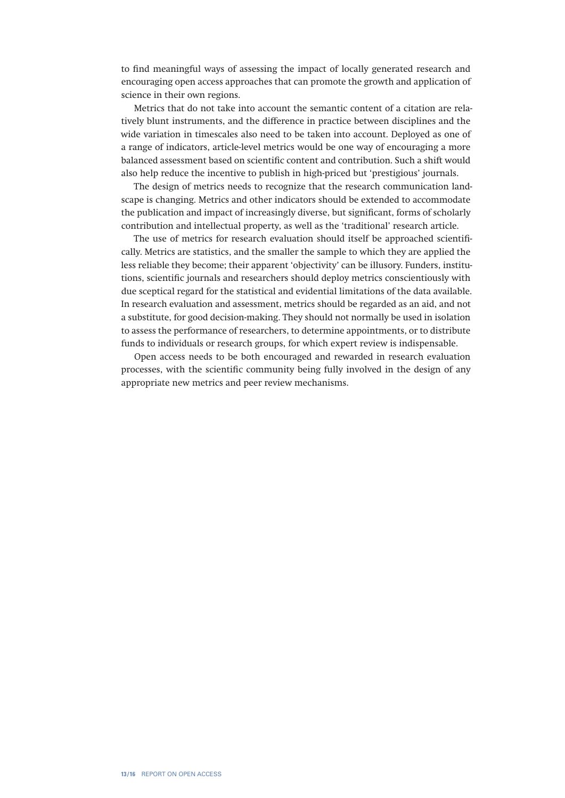to find meaningful ways of assessing the impact of locally generated research and encouraging open access approaches that can promote the growth and application of science in their own regions.

Metrics that do not take into account the semantic content of a citation are relatively blunt instruments, and the difference in practice between disciplines and the wide variation in timescales also need to be taken into account. Deployed as one of a range of indicators, article-level metrics would be one way of encouraging a more balanced assessment based on scientific content and contribution. Such a shift would also help reduce the incentive to publish in high-priced but 'prestigious' journals.

The design of metrics needs to recognize that the research communication landscape is changing. Metrics and other indicators should be extended to accommodate the publication and impact of increasingly diverse, but significant, forms of scholarly contribution and intellectual property, as well as the 'traditional' research article.

The use of metrics for research evaluation should itself be approached scientifically. Metrics are statistics, and the smaller the sample to which they are applied the less reliable they become; their apparent 'objectivity' can be illusory. Funders, institutions, scientific journals and researchers should deploy metrics conscientiously with due sceptical regard for the statistical and evidential limitations of the data available. In research evaluation and assessment, metrics should be regarded as an aid, and not a substitute, for good decision-making. They should not normally be used in isolation to assess the performance of researchers, to determine appointments, or to distribute funds to individuals or research groups, for which expert review is indispensable.

Open access needs to be both encouraged and rewarded in research evaluation processes, with the scientific community being fully involved in the design of any appropriate new metrics and peer review mechanisms.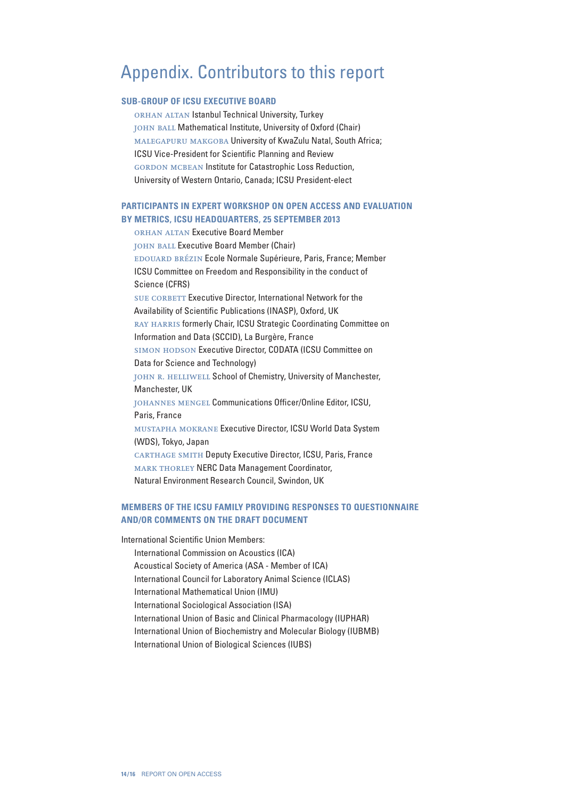# Appendix. Contributors to this report

#### **Sub-Group of ICSU Executive Board**

ORHAN ALTAN Istanbul Technical University, Turkey john ball Mathematical Institute, University of Oxford (Chair) malegapuru makgoba University of KwaZulu Natal, South Africa; ICSU Vice-President for Scientific Planning and Review gordon mcbean Institute for Catastrophic Loss Reduction, University of Western Ontario, Canada; ICSU President-elect

# **Participants in expert workshop on Open Access and evaluation by metrics, ICSU Headquarters, 25 September 2013**

ORHAN ALTAN Executive Board Member john ball Executive Board Member (Chair) EDOUARD BRÉZIN Ecole Normale Supérieure, Paris, France; Member ICSU Committee on Freedom and Responsibility in the conduct of Science (CFRS) SUE CORBETT Executive Director, International Network for the Availability of Scientific Publications (INASP), Oxford, UK RAY HARRIS formerly Chair, ICSU Strategic Coordinating Committee on Information and Data (SCCID), La Burgère, France simon hodson Executive Director, CODATA (ICSU Committee on Data for Science and Technology) JOHN R. HELLIWELL School of Chemistry, University of Manchester, Manchester, UK johannes mengel Communications Officer/Online Editor, ICSU, Paris, France mustapha mokrane Executive Director, ICSU World Data System (WDS), Tokyo, Japan carthage smith Deputy Executive Director, ICSU, Paris, France mark thorley NERC Data Management Coordinator, Natural Environment Research Council, Swindon, UK

# **Members of the ICSU family providing responses to questionnaire and/or comments on the draft document**

International Scientific Union Members:

- International Commission on Acoustics (ICA) Acoustical Society of America (ASA - Member of ICA) International Council for Laboratory Animal Science (ICLAS)
- 
- International Mathematical Union (IMU)
- International Sociological Association (ISA)
- International Union of Basic and Clinical Pharmacology (IUPHAR)
- International Union of Biochemistry and Molecular Biology (IUBMB)
- International Union of Biological Sciences (IUBS)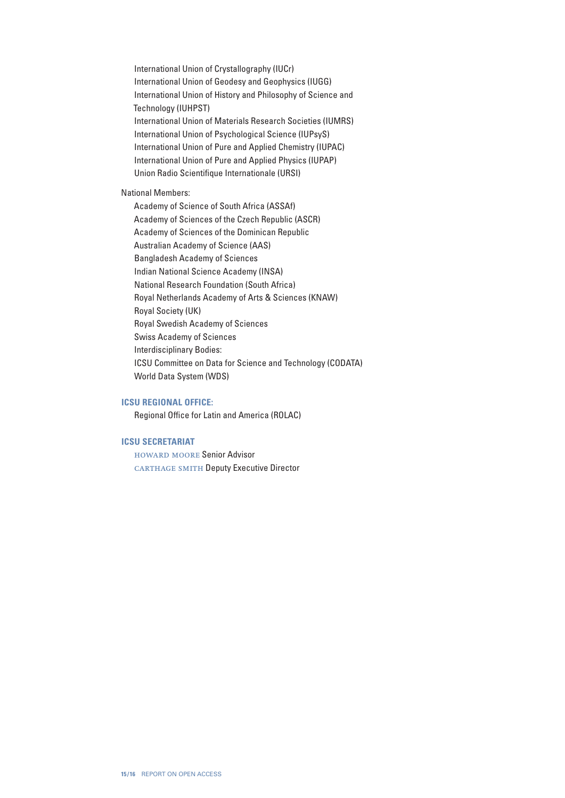International Union of Crystallography (IUCr) International Union of Geodesy and Geophysics (IUGG) International Union of History and Philosophy of Science and Technology (IUHPST) International Union of Materials Research Societies (IUMRS) International Union of Psychological Science (IUPsyS) International Union of Pure and Applied Chemistry (IUPAC) International Union of Pure and Applied Physics (IUPAP) Union Radio Scientifique Internationale (URSI)

#### National Members:

Academy of Science of South Africa (ASSAf) Academy of Sciences of the Czech Republic (ASCR) Academy of Sciences of the Dominican Republic Australian Academy of Science (AAS) Bangladesh Academy of Sciences Indian National Science Academy (INSA) National Research Foundation (South Africa) Royal Netherlands Academy of Arts & Sciences (KNAW) Royal Society (UK) Royal Swedish Academy of Sciences Swiss Academy of Sciences Interdisciplinary Bodies: ICSU Committee on Data for Science and Technology (CODATA) World Data System (WDS)

# **ICSU Regional Office:**

Regional Office for Latin and America (ROLAC)

#### **ICSU Secretariat**

howard moore Senior Advisor carthage smith Deputy Executive Director